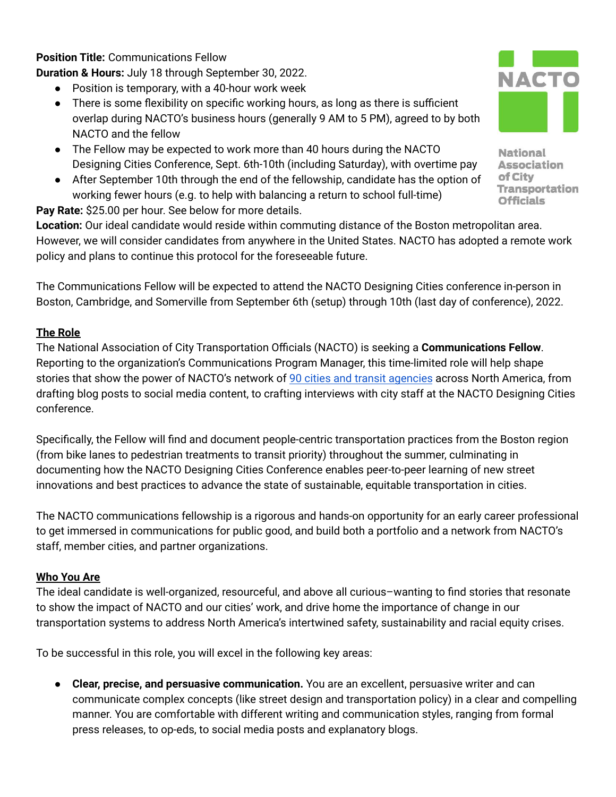# **Position Title:** Communications Fellow

**Duration & Hours:** July 18 through September 30, 2022.

- Position is temporary, with a 40-hour work week
- There is some flexibility on specific working hours, as long as there is sufficient overlap during NACTO's business hours (generally 9 AM to 5 PM), agreed to by both NACTO and the fellow
- The Fellow may be expected to work more than 40 hours during the NACTO Designing Cities Conference, Sept. 6th-10th (including Saturday), with overtime pay
- After September 10th through the end of the fellowship, candidate has the option of working fewer hours (e.g. to help with balancing a return to school full-time)

**Pay Rate:** \$25.00 per hour. See below for more details.

**Location:** Our ideal candidate would reside within commuting distance of the Boston metropolitan area. However, we will consider candidates from anywhere in the United States. NACTO has adopted a remote work policy and plans to continue this protocol for the foreseeable future.

The Communications Fellow will be expected to attend the NACTO Designing Cities conference in-person in Boston, Cambridge, and Somerville from September 6th (setup) through 10th (last day of conference), 2022.

## **The Role**

The National Association of City Transportation Officials (NACTO) is seeking a **Communications Fellow**. Reporting to the organization's Communications Program Manager, this time-limited role will help shape stories that show the power of NACTO's network of 90 cities and transit [agencies](https://nacto.org/member-cities/) across North America, from drafting blog posts to social media content, to crafting interviews with city staff at the NACTO Designing Cities conference.

Specifically, the Fellow will find and document people-centric transportation practices from the Boston region (from bike lanes to pedestrian treatments to transit priority) throughout the summer, culminating in documenting how the NACTO Designing Cities Conference enables peer-to-peer learning of new street innovations and best practices to advance the state of sustainable, equitable transportation in cities.

The NACTO communications fellowship is a rigorous and hands-on opportunity for an early career professional to get immersed in communications for public good, and build both a portfolio and a network from NACTO's staff, member cities, and partner organizations.

### **Who You Are**

The ideal candidate is well-organized, resourceful, and above all curious–wanting to find stories that resonate to show the impact of NACTO and our cities' work, and drive home the importance of change in our transportation systems to address North America's intertwined safety, sustainability and racial equity crises.

To be successful in this role, you will excel in the following key areas:

**● Clear, precise, and persuasive communication.** You are an excellent, persuasive writer and can communicate complex concepts (like street design and transportation policy) in a clear and compelling manner. You are comfortable with different writing and communication styles, ranging from formal press releases, to op-eds, to social media posts and explanatory blogs.



**National Association** of City **Transportation Officials**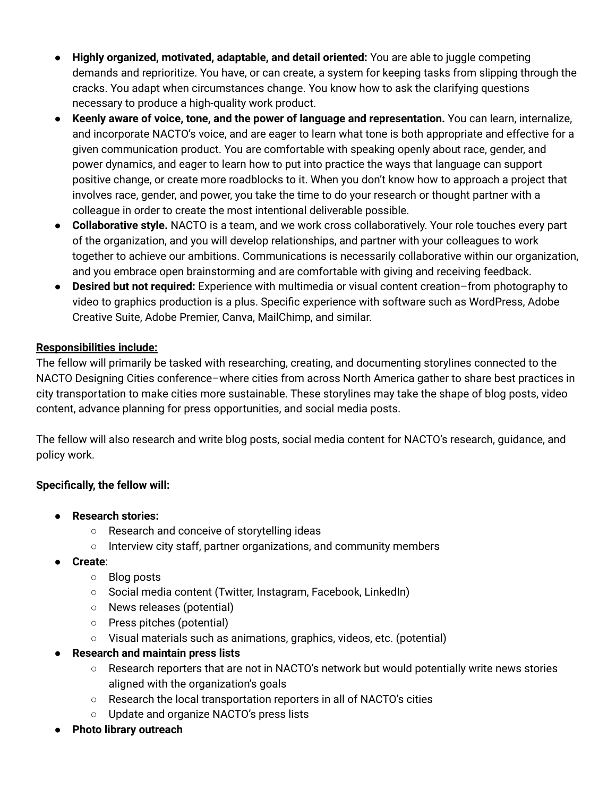- **● Highly organized, motivated, adaptable, and detail oriented:** You are able to juggle competing demands and reprioritize. You have, or can create, a system for keeping tasks from slipping through the cracks. You adapt when circumstances change. You know how to ask the clarifying questions necessary to produce a high-quality work product.
- **● Keenly aware of voice, tone, and the power of language and representation.** You can learn, internalize, and incorporate NACTO's voice, and are eager to learn what tone is both appropriate and effective for a given communication product. You are comfortable with speaking openly about race, gender, and power dynamics, and eager to learn how to put into practice the ways that language can support positive change, or create more roadblocks to it. When you don't know how to approach a project that involves race, gender, and power, you take the time to do your research or thought partner with a colleague in order to create the most intentional deliverable possible.
- **● Collaborative style.** NACTO is a team, and we work cross collaboratively. Your role touches every part of the organization, and you will develop relationships, and partner with your colleagues to work together to achieve our ambitions. Communications is necessarily collaborative within our organization, and you embrace open brainstorming and are comfortable with giving and receiving feedback.
- **Desired but not required:** Experience with multimedia or visual content creation–from photography to video to graphics production is a plus. Specific experience with software such as WordPress, Adobe Creative Suite, Adobe Premier, Canva, MailChimp, and similar.

## **Responsibilities include:**

The fellow will primarily be tasked with researching, creating, and documenting storylines connected to the NACTO Designing Cities conference–where cities from across North America gather to share best practices in city transportation to make cities more sustainable. These storylines may take the shape of blog posts, video content, advance planning for press opportunities, and social media posts.

The fellow will also research and write blog posts, social media content for NACTO's research, guidance, and policy work.

### **Specifically, the fellow will:**

- **● Research stories:**
	- **○** Research and conceive of storytelling ideas
	- Interview city staff, partner organizations, and community members
- **● Create**:
	- **○** Blog posts
	- **○** Social media content (Twitter, Instagram, Facebook, LinkedIn)
	- **○** News releases (potential)
	- Press pitches (potential)
	- Visual materials such as animations, graphics, videos, etc. (potential)
- **Research and maintain press lists**
	- Research reporters that are not in NACTO's network but would potentially write news stories aligned with the organization's goals
	- Research the local transportation reporters in all of NACTO's cities
	- Update and organize NACTO's press lists
- **Photo library outreach**